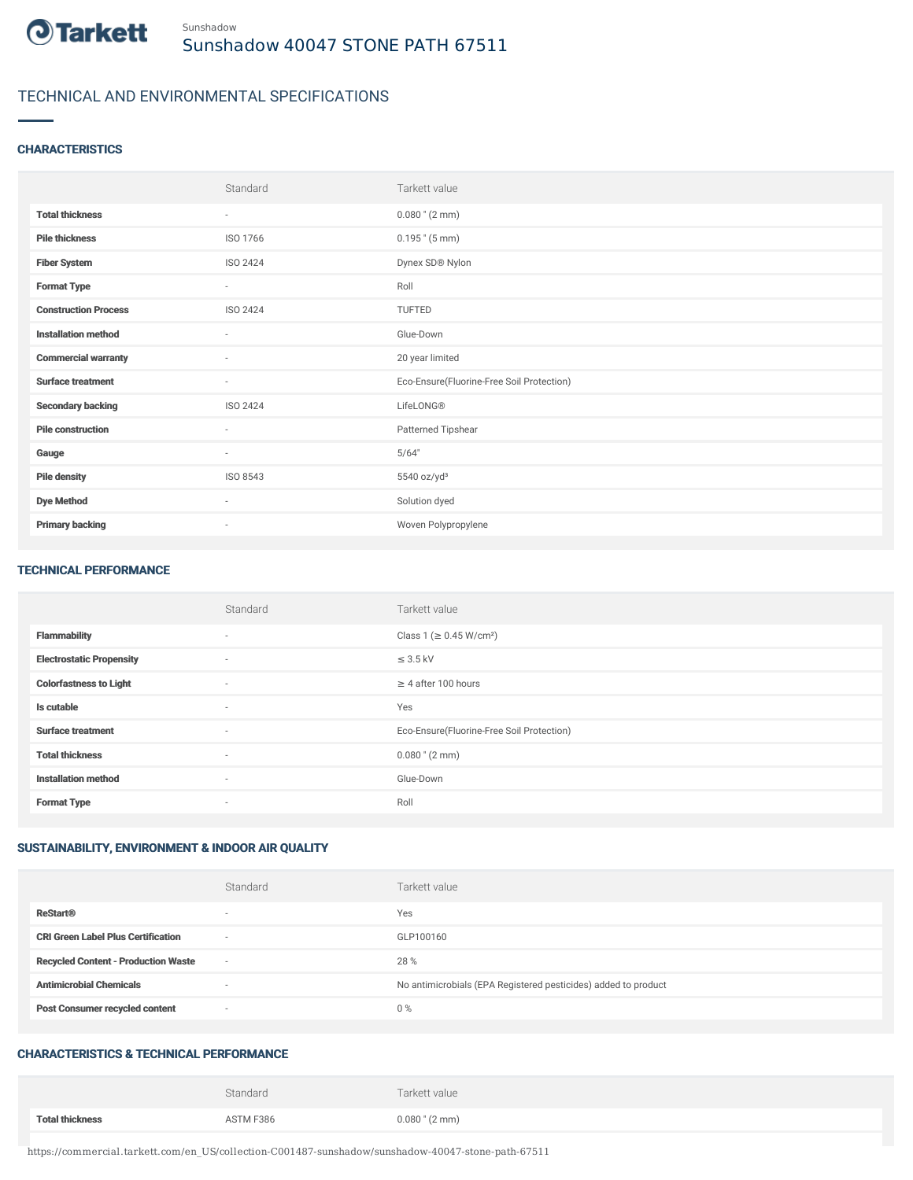

# TECHNICAL AND ENVIRONMENTAL SPECIFICATIONS

#### **CHARACTERISTICS**

|                             | Standard                 | Tarkett value                             |
|-----------------------------|--------------------------|-------------------------------------------|
| <b>Total thickness</b>      | $\sim$                   | $0.080$ " (2 mm)                          |
| <b>Pile thickness</b>       | ISO 1766                 | $0.195$ " $(5 \text{ mm})$                |
| <b>Fiber System</b>         | <b>ISO 2424</b>          | Dynex SD® Nylon                           |
| <b>Format Type</b>          | $\sim$                   | Roll                                      |
| <b>Construction Process</b> | <b>ISO 2424</b>          | TUFTED                                    |
| <b>Installation method</b>  | $\sim$                   | Glue-Down                                 |
| <b>Commercial warranty</b>  | $\sim$                   | 20 year limited                           |
| <b>Surface treatment</b>    | $\overline{\phantom{a}}$ | Eco-Ensure(Fluorine-Free Soil Protection) |
| <b>Secondary backing</b>    | <b>ISO 2424</b>          | LifeLONG®                                 |
| <b>Pile construction</b>    | $\sim$                   | Patterned Tipshear                        |
| Gauge                       | $\sim$                   | 5/64"                                     |
| <b>Pile density</b>         | ISO 8543                 | 5540 oz/yd <sup>3</sup>                   |
| <b>Dye Method</b>           | $\sim$                   | Solution dyed                             |
| <b>Primary backing</b>      | $\overline{\phantom{a}}$ | Woven Polypropylene                       |

#### TECHNICAL PERFORMANCE

|                                 | Standard | Tarkett value                             |
|---------------------------------|----------|-------------------------------------------|
| <b>Flammability</b>             | $\sim$   | Class 1 ( $\geq$ 0.45 W/cm <sup>2</sup> ) |
| <b>Electrostatic Propensity</b> | $\sim$   | $\leq$ 3.5 kV                             |
| <b>Colorfastness to Light</b>   | $\sim$   | $\geq 4$ after 100 hours                  |
| Is cutable                      | $\sim$   | Yes                                       |
| <b>Surface treatment</b>        | $\sim$   | Eco-Ensure(Fluorine-Free Soil Protection) |
| <b>Total thickness</b>          | $\sim$   | $0.080$ " (2 mm)                          |
| <b>Installation method</b>      | $\sim$   | Glue-Down                                 |
| <b>Format Type</b>              | $\sim$   | Roll                                      |

## SUSTAINABILITY, ENVIRONMENT & INDOOR AIR QUALITY

|                                            | Standard                 | Tarkett value                                                  |
|--------------------------------------------|--------------------------|----------------------------------------------------------------|
| <b>ReStart®</b>                            | $\overline{\phantom{a}}$ | Yes                                                            |
| <b>CRI Green Label Plus Certification</b>  | $\sim$                   | GLP100160                                                      |
| <b>Recycled Content - Production Waste</b> | $\sim$                   | 28 %                                                           |
| <b>Antimicrobial Chemicals</b>             | ۰                        | No antimicrobials (EPA Registered pesticides) added to product |
| <b>Post Consumer recycled content</b>      | $\sim$                   | 0%                                                             |

### CHARACTERISTICS & TECHNICAL PERFORMANCE

|                        | Standard  | Tarkett value              |
|------------------------|-----------|----------------------------|
| <b>Total thickness</b> | ASTM F386 | $0.080$ " $(2 \text{ mm})$ |